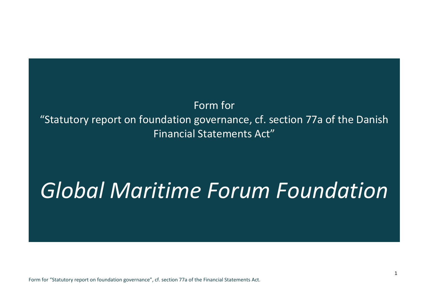## Form for "Statutory report on foundation governance, cf. section 77a of the Danish Financial Statements Act"

# *Global Maritime Forum Foundation*

Form for "Statutory report on foundation governance", cf. section 77a of the Financial Statements Act.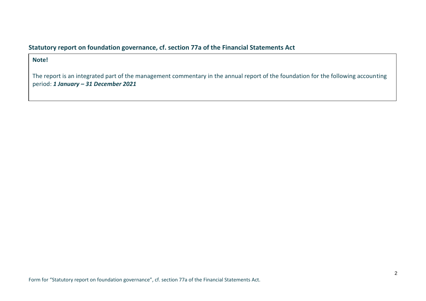#### **Statutory report on foundation governance, cf. section 77a of the Financial Statements Act**

#### **Note!**

The report is an integrated part of the management commentary in the annual report of the foundation for the following accounting period: *1 January – 31 December 2021*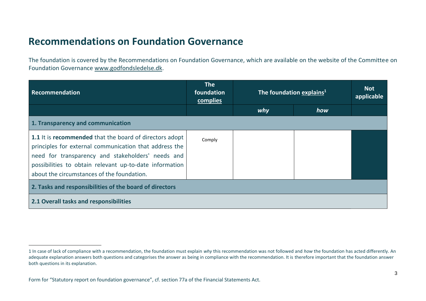### **Recommendations on Foundation Governance**

The foundation is covered by the Recommendations on Foundation Governance, which are available on the website of the Committee on Foundation Governance [www.godfondsledelse.dk.](http://www.godfondsledelse.dk/)

| Recommendation                                                                                                                                                                                                                                                                  | <b>The</b><br>foundation<br>complies | The foundation explains <sup>1</sup> |     | <b>Not</b><br>applicable |
|---------------------------------------------------------------------------------------------------------------------------------------------------------------------------------------------------------------------------------------------------------------------------------|--------------------------------------|--------------------------------------|-----|--------------------------|
|                                                                                                                                                                                                                                                                                 |                                      | why                                  | how |                          |
| 1. Transparency and communication                                                                                                                                                                                                                                               |                                      |                                      |     |                          |
| 1.1 It is recommended that the board of directors adopt<br>principles for external communication that address the<br>need for transparency and stakeholders' needs and<br>possibilities to obtain relevant up-to-date information<br>about the circumstances of the foundation. | Comply                               |                                      |     |                          |
| 2. Tasks and responsibilities of the board of directors                                                                                                                                                                                                                         |                                      |                                      |     |                          |
| 2.1 Overall tasks and responsibilities                                                                                                                                                                                                                                          |                                      |                                      |     |                          |

<sup>1</sup> In case of lack of compliance with a recommendation, the foundation must explain *why* this recommendation was not followed and *how* the foundation has acted differently. An adequate explanation answers both questions and categorises the answer as being in compliance with the recommendation. It is therefore important that the foundation answer both questions in its explanation.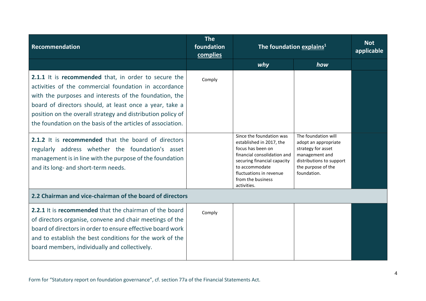| <b>Recommendation</b>                                                                                                                                                                                                                                                                                                                                            | <b>The</b><br>foundation<br>complies | The foundation explains <sup>1</sup>                                                                                                                                                                                     |                                                                                                                                                      | <b>Not</b><br>applicable |
|------------------------------------------------------------------------------------------------------------------------------------------------------------------------------------------------------------------------------------------------------------------------------------------------------------------------------------------------------------------|--------------------------------------|--------------------------------------------------------------------------------------------------------------------------------------------------------------------------------------------------------------------------|------------------------------------------------------------------------------------------------------------------------------------------------------|--------------------------|
|                                                                                                                                                                                                                                                                                                                                                                  |                                      | why                                                                                                                                                                                                                      | how                                                                                                                                                  |                          |
| 2.1.1 It is recommended that, in order to secure the<br>activities of the commercial foundation in accordance<br>with the purposes and interests of the foundation, the<br>board of directors should, at least once a year, take a<br>position on the overall strategy and distribution policy of<br>the foundation on the basis of the articles of association. | Comply                               |                                                                                                                                                                                                                          |                                                                                                                                                      |                          |
| 2.1.2 It is recommended that the board of directors<br>regularly address whether the foundation's asset<br>management is in line with the purpose of the foundation<br>and its long- and short-term needs.                                                                                                                                                       |                                      | Since the foundation was<br>established in 2017, the<br>focus has been on<br>financial consolidation and<br>securing financial capacity<br>to accommodate<br>fluctuations in revenue<br>from the business<br>activities. | The foundation will<br>adopt an appropriate<br>strategy for asset<br>management and<br>distributions to support<br>the purpose of the<br>foundation. |                          |
| 2.2 Chairman and vice-chairman of the board of directors                                                                                                                                                                                                                                                                                                         |                                      |                                                                                                                                                                                                                          |                                                                                                                                                      |                          |
| <b>2.2.1</b> It is <b>recommended</b> that the chairman of the board<br>of directors organise, convene and chair meetings of the<br>board of directors in order to ensure effective board work<br>and to establish the best conditions for the work of the<br>board members, individually and collectively.                                                      | Comply                               |                                                                                                                                                                                                                          |                                                                                                                                                      |                          |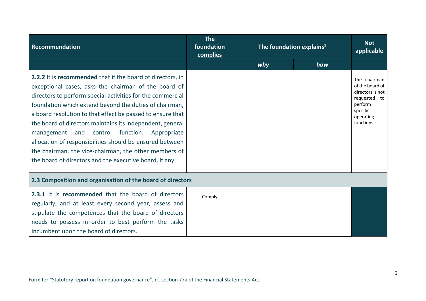| Recommendation                                                                                                                                                                                                                                                                                                                                                                                                                                                                                                                                                                                        | <b>The</b><br>foundation<br>complies | The foundation explains <sup>1</sup> |     | <b>Not</b><br>applicable                                                                                             |
|-------------------------------------------------------------------------------------------------------------------------------------------------------------------------------------------------------------------------------------------------------------------------------------------------------------------------------------------------------------------------------------------------------------------------------------------------------------------------------------------------------------------------------------------------------------------------------------------------------|--------------------------------------|--------------------------------------|-----|----------------------------------------------------------------------------------------------------------------------|
|                                                                                                                                                                                                                                                                                                                                                                                                                                                                                                                                                                                                       |                                      | why                                  | how |                                                                                                                      |
| 2.2.2 It is recommended that if the board of directors, in<br>exceptional cases, asks the chairman of the board of<br>directors to perform special activities for the commercial<br>foundation which extend beyond the duties of chairman,<br>a board resolution to that effect be passed to ensure that<br>the board of directors maintains its independent, general<br>management and control function. Appropriate<br>allocation of responsibilities should be ensured between<br>the chairman, the vice-chairman, the other members of<br>the board of directors and the executive board, if any. |                                      |                                      |     | The chairman<br>of the board of<br>directors is not<br>requested to<br>perform<br>specific<br>operating<br>functions |
| 2.3 Composition and organisation of the board of directors                                                                                                                                                                                                                                                                                                                                                                                                                                                                                                                                            |                                      |                                      |     |                                                                                                                      |
| 2.3.1 It is recommended that the board of directors<br>regularly, and at least every second year, assess and<br>stipulate the competences that the board of directors<br>needs to possess in order to best perform the tasks<br>incumbent upon the board of directors.                                                                                                                                                                                                                                                                                                                                | Comply                               |                                      |     |                                                                                                                      |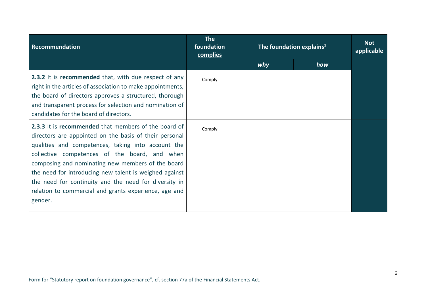| Recommendation                                                                                                                                                                                                                                                                                                                                                                                                                                                                  | <b>The</b><br>foundation<br>complies | The foundation explains <sup>1</sup> |     | <b>Not</b><br>applicable |
|---------------------------------------------------------------------------------------------------------------------------------------------------------------------------------------------------------------------------------------------------------------------------------------------------------------------------------------------------------------------------------------------------------------------------------------------------------------------------------|--------------------------------------|--------------------------------------|-----|--------------------------|
|                                                                                                                                                                                                                                                                                                                                                                                                                                                                                 |                                      | why                                  | how |                          |
| 2.3.2 It is recommended that, with due respect of any<br>right in the articles of association to make appointments,<br>the board of directors approves a structured, thorough<br>and transparent process for selection and nomination of<br>candidates for the board of directors.                                                                                                                                                                                              | Comply                               |                                      |     |                          |
| <b>2.3.3</b> It is <b>recommended</b> that members of the board of<br>directors are appointed on the basis of their personal<br>qualities and competences, taking into account the<br>collective competences of the board, and when<br>composing and nominating new members of the board<br>the need for introducing new talent is weighed against<br>the need for continuity and the need for diversity in<br>relation to commercial and grants experience, age and<br>gender. | Comply                               |                                      |     |                          |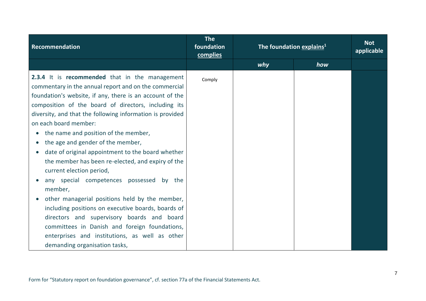| Recommendation                                                                                                                                                                                                                                                                                                                                                                                                                                                                                                                                                                                                                                                                                                                                                                                                                                                                        | <b>The</b><br>foundation<br>complies | The foundation explains <sup>1</sup> |     | <b>Not</b><br>applicable |
|---------------------------------------------------------------------------------------------------------------------------------------------------------------------------------------------------------------------------------------------------------------------------------------------------------------------------------------------------------------------------------------------------------------------------------------------------------------------------------------------------------------------------------------------------------------------------------------------------------------------------------------------------------------------------------------------------------------------------------------------------------------------------------------------------------------------------------------------------------------------------------------|--------------------------------------|--------------------------------------|-----|--------------------------|
|                                                                                                                                                                                                                                                                                                                                                                                                                                                                                                                                                                                                                                                                                                                                                                                                                                                                                       |                                      | why                                  | how |                          |
| 2.3.4 It is recommended that in the management<br>commentary in the annual report and on the commercial<br>foundation's website, if any, there is an account of the<br>composition of the board of directors, including its<br>diversity, and that the following information is provided<br>on each board member:<br>the name and position of the member,<br>the age and gender of the member,<br>date of original appointment to the board whether<br>the member has been re-elected, and expiry of the<br>current election period,<br>any special competences possessed by the<br>member,<br>other managerial positions held by the member,<br>including positions on executive boards, boards of<br>directors and supervisory boards and board<br>committees in Danish and foreign foundations,<br>enterprises and institutions, as well as other<br>demanding organisation tasks, | Comply                               |                                      |     |                          |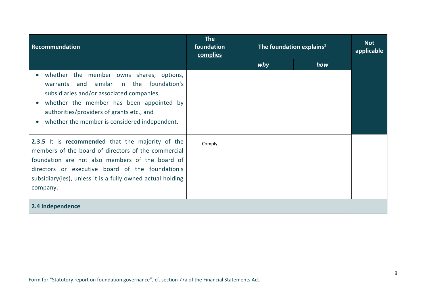| Recommendation                                                                                                                                                                                                                                                                           | <b>The</b><br>foundation<br>complies | The foundation explains <sup>1</sup> |     | <b>Not</b><br>applicable |
|------------------------------------------------------------------------------------------------------------------------------------------------------------------------------------------------------------------------------------------------------------------------------------------|--------------------------------------|--------------------------------------|-----|--------------------------|
|                                                                                                                                                                                                                                                                                          |                                      | why                                  | how |                          |
| whether the member owns shares, options,<br>similar<br>in the foundation's<br>and<br>warrants<br>subsidiaries and/or associated companies,<br>whether the member has been appointed by<br>authorities/providers of grants etc., and<br>whether the member is considered independent.     |                                      |                                      |     |                          |
| 2.3.5 It is recommended that the majority of the<br>members of the board of directors of the commercial<br>foundation are not also members of the board of<br>directors or executive board of the foundation's<br>subsidiary(ies), unless it is a fully owned actual holding<br>company. | Comply                               |                                      |     |                          |
| 2.4 Independence                                                                                                                                                                                                                                                                         |                                      |                                      |     |                          |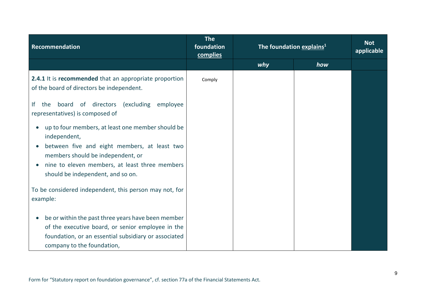| Recommendation                                                                                                                       | <b>The</b><br>foundation<br>complies | The foundation explains <sup>1</sup> |     | <b>Not</b><br>applicable |
|--------------------------------------------------------------------------------------------------------------------------------------|--------------------------------------|--------------------------------------|-----|--------------------------|
|                                                                                                                                      |                                      | why                                  | how |                          |
| 2.4.1 It is recommended that an appropriate proportion<br>of the board of directors be independent.                                  | Comply                               |                                      |     |                          |
| board of directors<br>(excluding)<br>lf<br>the<br>employee<br>representatives) is composed of                                        |                                      |                                      |     |                          |
| up to four members, at least one member should be<br>independent,                                                                    |                                      |                                      |     |                          |
| between five and eight members, at least two<br>members should be independent, or                                                    |                                      |                                      |     |                          |
| $\bullet$<br>should be independent, and so on.                                                                                       |                                      |                                      |     |                          |
| To be considered independent, this person may not, for<br>example:                                                                   |                                      |                                      |     |                          |
| be or within the past three years have been member<br>$\bullet$                                                                      |                                      |                                      |     |                          |
| of the executive board, or senior employee in the                                                                                    |                                      |                                      |     |                          |
|                                                                                                                                      |                                      |                                      |     |                          |
| nine to eleven members, at least three members<br>foundation, or an essential subsidiary or associated<br>company to the foundation, |                                      |                                      |     |                          |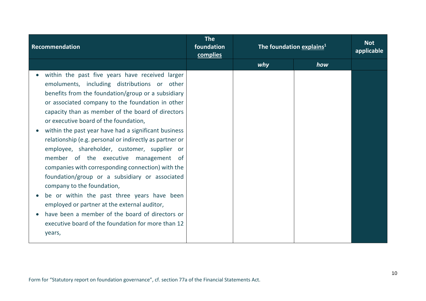| Recommendation                                                                                                                                                                                                                                                                                                                                                                                                                                                                                                                                                                                                                                                                                                                                                                                                                                                             | <b>The</b><br>foundation<br>complies | The foundation explains <sup>1</sup> |     | <b>Not</b><br>applicable |
|----------------------------------------------------------------------------------------------------------------------------------------------------------------------------------------------------------------------------------------------------------------------------------------------------------------------------------------------------------------------------------------------------------------------------------------------------------------------------------------------------------------------------------------------------------------------------------------------------------------------------------------------------------------------------------------------------------------------------------------------------------------------------------------------------------------------------------------------------------------------------|--------------------------------------|--------------------------------------|-----|--------------------------|
|                                                                                                                                                                                                                                                                                                                                                                                                                                                                                                                                                                                                                                                                                                                                                                                                                                                                            |                                      | why                                  | how |                          |
| within the past five years have received larger<br>emoluments, including distributions or other<br>benefits from the foundation/group or a subsidiary<br>or associated company to the foundation in other<br>capacity than as member of the board of directors<br>or executive board of the foundation,<br>within the past year have had a significant business<br>relationship (e.g. personal or indirectly as partner or<br>employee, shareholder, customer, supplier or<br>member of the executive management of<br>companies with corresponding connection) with the<br>foundation/group or a subsidiary or associated<br>company to the foundation,<br>be or within the past three years have been<br>employed or partner at the external auditor,<br>have been a member of the board of directors or<br>executive board of the foundation for more than 12<br>years, |                                      |                                      |     |                          |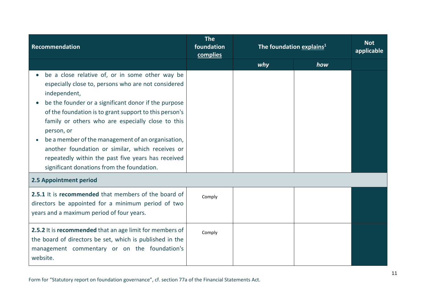| <b>Recommendation</b>                                                                                                                                                                                                                                                                                                                                                                                                                                                                                                    | <b>The</b><br>foundation<br>complies | The foundation explains <sup>1</sup> |     | <b>Not</b><br>applicable |
|--------------------------------------------------------------------------------------------------------------------------------------------------------------------------------------------------------------------------------------------------------------------------------------------------------------------------------------------------------------------------------------------------------------------------------------------------------------------------------------------------------------------------|--------------------------------------|--------------------------------------|-----|--------------------------|
|                                                                                                                                                                                                                                                                                                                                                                                                                                                                                                                          |                                      | why                                  | how |                          |
| be a close relative of, or in some other way be<br>especially close to, persons who are not considered<br>independent,<br>be the founder or a significant donor if the purpose<br>of the foundation is to grant support to this person's<br>family or others who are especially close to this<br>person, or<br>be a member of the management of an organisation,<br>another foundation or similar, which receives or<br>repeatedly within the past five years has received<br>significant donations from the foundation. |                                      |                                      |     |                          |
| 2.5 Appointment period                                                                                                                                                                                                                                                                                                                                                                                                                                                                                                   |                                      |                                      |     |                          |
| 2.5.1 It is recommended that members of the board of<br>directors be appointed for a minimum period of two<br>years and a maximum period of four years.                                                                                                                                                                                                                                                                                                                                                                  | Comply                               |                                      |     |                          |
| 2.5.2 It is recommended that an age limit for members of<br>the board of directors be set, which is published in the<br>management commentary or on the foundation's<br>website.                                                                                                                                                                                                                                                                                                                                         | Comply                               |                                      |     |                          |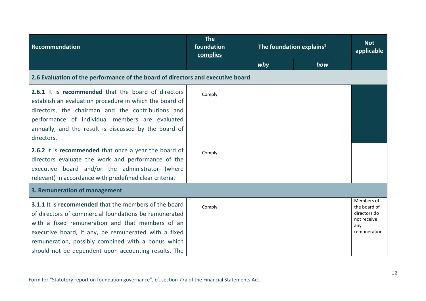| Recommendation                                                                                                                                                                                                                                                                                                                                                                                                                                                                                                             | <b>The</b><br>foundation<br>complies | The foundation explains <sup>1</sup> |     | <b>Not</b><br>applicable                                                         |
|----------------------------------------------------------------------------------------------------------------------------------------------------------------------------------------------------------------------------------------------------------------------------------------------------------------------------------------------------------------------------------------------------------------------------------------------------------------------------------------------------------------------------|--------------------------------------|--------------------------------------|-----|----------------------------------------------------------------------------------|
|                                                                                                                                                                                                                                                                                                                                                                                                                                                                                                                            |                                      | why                                  | how |                                                                                  |
| 2.6 Evaluation of the performance of the board of directors and executive board                                                                                                                                                                                                                                                                                                                                                                                                                                            |                                      |                                      |     |                                                                                  |
| 2.6.1 It is recommended that the board of directors<br>establish an evaluation procedure in which the board of<br>directors, the chairman and the contributions and<br>performance of individual members are evaluated<br>annually, and the result is discussed by the board of<br>directors.<br>2.6.2 It is recommended that once a year the board of<br>directors evaluate the work and performance of the<br>executive board and/or the administrator (where<br>relevant) in accordance with predefined clear criteria. | Comply<br>Comply                     |                                      |     |                                                                                  |
| 3. Remuneration of management                                                                                                                                                                                                                                                                                                                                                                                                                                                                                              |                                      |                                      |     |                                                                                  |
| <b>3.1.1</b> It is <b>recommended</b> that the members of the board<br>of directors of commercial foundations be remunerated<br>with a fixed remuneration and that members of an<br>executive board, if any, be remunerated with a fixed<br>remuneration, possibly combined with a bonus which<br>should not be dependent upon accounting results. The                                                                                                                                                                     | Comply                               |                                      |     | Members of<br>the board of<br>directors do<br>not receive<br>any<br>remuneration |